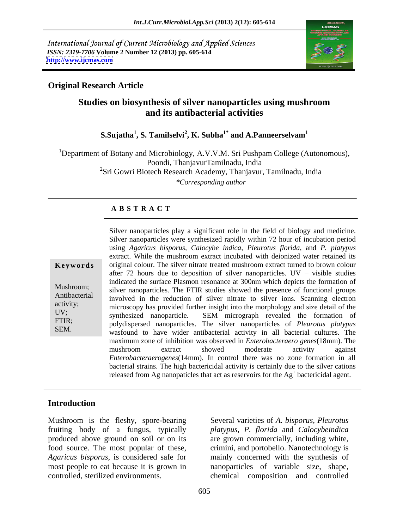International Journal of Current Microbiology and Applied Sciences *ISSN: 2319-7706* **Volume 2 Number 12 (2013) pp. 605-614 <http://www.ijcmas.com>**



### **Original Research Article**

### **Studies on biosynthesis of silver nanoparticles using mushroom and its antibacterial activities**

#### ${\bf S.Sujatha}^1, {\bf S.}$   $\bf Tamilselvi^2, {\bf K.} \bf Subha^{1*}$  and  ${\bf A.} \bf Panneerselvam^1$  **and A.Panneerselvam<sup>1</sup>**

1Department of Botany and Microbiology, A.V.V.M. Sri Pushpam College (Autonomous), Poondi, ThanjavurTamilnadu, India <sup>2</sup>Sri Gowri Biotech Research Academy, Thanjavur, Tamilnadu, India *\*Corresponding author* 

#### **A B S T R A C T**

**Keywords** original colour. The silver nitrate treated mushroom extract turned to brown colour Mushroom; silver nanoparticles. The FTIR studies showed the presence of functional groups Antibacterial involved in the reduction of silver nitrate to silver ions. Scanning electron activity;<br>
microscopy has provided further insight into the morphology and size detail of the UV;<br>synthesized nanoparticle. SEM micrograph revealed the formation of FTIR; polydispersed nanoparticles. The silver nanoparticles of *Pleurotus platypus* SEM.<br>wasfound to have wider antibacterial activity in all bacterial cultures. The Silver nanoparticles play a significant role in the field of biology and medicine. Silver nanoparticles were synthesized rapidly within 72 hour of incubation period using *Agaricus bisporus, Calocybe indica, Pleurotus florida,* and *P. platypus* extract. While the mushroom extract incubated with deionized water retained its after 72 hours due to deposition of silver nanoparticles.  $UV - visible$  studies indicated the surface Plasmon resonance at 300nm which depicts the formation of maximum zone of inhibition was observed in *Enterobacteraero genes*(18mm). The mushroom extract showed moderate activity against *Enterobacteraerogenes*(14mm). In control there was no zone formation in all bacterial strains. The high bactericidal activity is certainly due to the silver cations released from Ag nanopaticles that act as reservoirs for the  $Ag<sup>+</sup>$  bactericidal agent.

#### **Introduction**

Mushroom is the fleshy, spore-bearing Several varieties of *A. bisporus, Pleurotus* fruiting body of a fungus, typically *platypus, P. florida* and *Calocybeindica* produced above ground on soil or on its are grown commercially, including white, food source. The most popular of these, crimini, and portobello. Nanotechnology is *Agaricus bisporus*, is considered safe for mainly concerned with the synthesis of most people to eat because it is grown in nanoparticles of variable size, shape, controlled, sterilized environments. chemical composition and controlled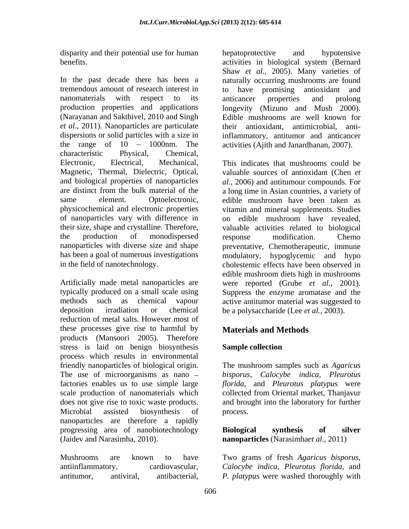disparity and their potential use for human behalf potential example and hypotensive

In the past decade there has been a naturally occurring mushrooms are found tremendous amount of research interest in to have promising antioxidant and nanomaterials with respect to its anticancer properties and prolong production properties and applications longevity (Mizuno and Mush 2000). (Narayanan and Sakthivel, 2010 and Singh *et al*., 2011). Nanoparticles are particulate dispersions or solid particles with a size in inflammatory, antitumor and anticancer the range of  $10 - 1000$ nm. The characteristic Physical, Chemical,

deposition irradiation or chemical be a polysaccharide (Lee *et al.,* 2003). reduction of metal salts. However most of these processes give rise to harmful by **Materials and Methods** products (Mansoori 2005). Therefore stress is laid on benign biosynthesis Sample collection process which results in environmental friendly nanoparticles of biological origin. The mushroom samples such as *Agaricus* The use of microorganisms as nano *bisporus, Calocybe indica, Pleurotus* factories enables us to use simple large *florida,* and *Pleurotus platypus* were scale production of nanomaterials which collected from Oriental market, Thanjavur does not give rise to toxic waste products. and brought into the laboratory for further Microbial assisted biosynthesis of nanoparticles are therefore a rapidly progressing area of nanobiotechnology **Biological synthesis of silver** (Jaidev and Narasimha, 2010). **nanoparticles** (Narasimha*et al.,* 2011)

Mushrooms are known to have Two grams of fresh Agaricus bisporus, antiinflammatory, cardiovascular, *Calocybe indica, Pleurotus florida*, and

benefits. activities in biological system (Bernard hepatoprotective and hypotensive Shaw *et al.,* 2005). Many varieties of anticancer properties and prolong Edible mushrooms are well known for antimicrobial, antiactivities (Ajith and Janardhanan, 2007).

Electronic, Electrical, Mechanical, This indicates that mushrooms could be Magnetic, Thermal, Dielectric, Optical, valuable sources of antioxidant (Chen *et*  and biological properties of nanoparticles *al.,* 2006) and antitumour compounds. For are distinct from the bulk material of the a long time in Asian countries, a variety of same element. Optoelectronic, edible mushroom have been taken as physicochemical and electronic properties vitamin and mineral supplements. Studies of nanoparticles vary with difference in on edible mushroom have revealed, their size, shape and crystalline. Therefore, valuable activities related to biological the production of monodispersed response modification. Chemo nanoparticles with diverse size and shape preventative, Chemotherapeutic, immune has been a goal of numerous investigations modulatory, hypoglycemic and hypo in the field of nanotechnology. cholestemic effects have been observed in Artificially made metal nanoparticles are were reported (Grube *et al.,* 2001). typically produced on a small scale using Suppress the enzyme aromatase and the methods such as chemical vapour active antitumor material was suggested to response modification. Chemo edible mushroom diets high in mushrooms

### **Materials and Methods**

### **Sample collection**

process.

**Biological synthesis of silver**

antitumor, antiviral, antibacterial, *P. platypus* were washed thoroughly withTwo grams of fresh *Agaricus bisporus, Calocybe indica, Pleurotus florida,* and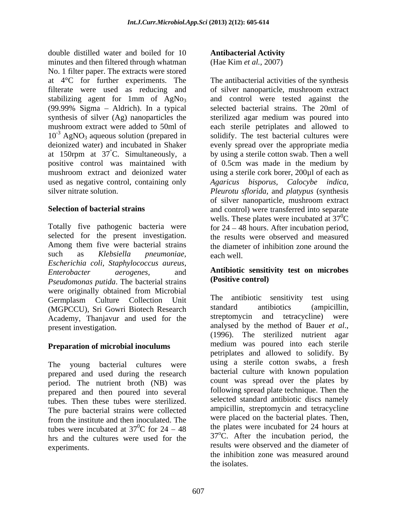double distilled water and boiled for 10 **Antibacterial Activity** minutes and then filtered through whatman No. 1 filter paper. The extracts were stored filterate were used as reducing and of silver nanoparticle, mushroom extract stabilizing agent for 1mm of AgNo<sub>3</sub> (99.99% Sigma – Aldrich). In a typical at 150rpm at  $37^{\circ}$ C. Simultaneously, a by using a sterile cotton swab. Then a well positive control was maintained with of 0.5cm was made in the medium by

selected for the present investigation. *Escherichia coli, Staphylococcus aureus, Enterobacter aerogenes,* and **Antibiotic sensitivity test on microbes** *Pseudomonas putida*. The bacterial strains (Positive control) were originally obtained from Microbial Germplasm Culture Collection Unit The antibiotic sensitivity test using<br>
(MGPCCU) Sri Gowri Biotech Research standard antibiotics (ampicillin, (MGPCCU), Sri Gowri Biotech Research Academy, Thanjavur and used for the

#### **Preparation of microbial inoculums**

prepared and used during the research period. The nutrient broth (NB) was prepared and then poured into several tubes. Then these tubes were sterilized. The pure bacterial strains were collected tubes were incubated at  $37^0C$  for  $24 - 48$ hrs and the cultures were used for the

**Antibacterial Activity**

(Hae Kim *et al.,* 2007)

at 4°C for further experiments. The The antibacterial activities of the synthesis (99.99% Sigma Aldrich). In a typical selected bacterial strains. The 20ml of synthesis of silver (Ag) nanoparticles the sterilized agar medium was poured into mushroom extract were added to 50ml of each sterile petriplates and allowed to  $10^{-3}$  AgNO<sub>3</sub> aqueous solution (prepared in solidify. The test bacterial cultures were deionized water) and incubated in Shaker evenly spread over the appropriate media at 150rpm at 37°C. Simultaneously, a by using a sterile cotton swab. Then a well<br>positive control was maintained with of 0.5cm was made in the medium by mushroom extract and deionized water using a sterile cork borer, 200µl of each as used as negative control, containing only *Agaricus bisporus, Calocybe indica,*  silver nitrate solution. *Pleurotu sflorida,* and *platypus* (synthesis **Selection of bacterial strains** and control) were transferred into separate Totally five pathogenic bacteria were for 24 – 48 hours. After incubation period, Among them five were bacterial strains the diameter of inhibition zone around the such as *Klebsiella pneumoniae,*  of silver nanoparticle, mushroom extract and control were tested against the by using a sterile cotton swab. Then a well of 0.5cm was made in the medium by of silver nanoparticle, mushroom extract wells. These plates were incubated at  $37^{\circ}$ C  ${}^{0}C$ the results were observed and measured each well.

# **(Positive control)**

present investigation. analysed by the method of Bauer *et al.*,<br>(1996). The sterilized nutrient agar The young bacterial cultures were using a sterile cotton swabs, a fresh from the institute and then inoculated. The experiments. results were observed and the diameter of The antibiotic sensitivity standard antibiotics (ampicillin, streptomycin and tetracycline) were analysed by the method of Bauer *et al*., (1996). The sterilized nutrient agar medium was poured into each sterile petriplates and allowed to solidify. By bacterial culture with known population count was spread over the plates by following spread plate technique. Then the selected standard antibiotic discs namely ampicillin, streptomycin and tetracycline were placed on the bacterial plates. Then, the plates were incubated for 24 hours at  $37^{\circ}$ C. After the incubation period, the the inhibition zone was measured around the isolates.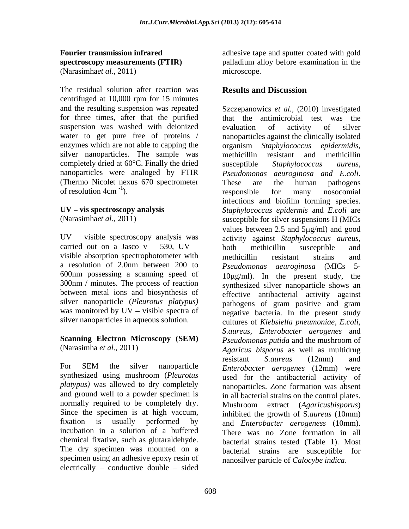# (Narasimha*et al.,* 2011)

The residual solution after reaction was **Results and Discussion** centrifuged at 10,000 rpm for 15 minutes and the resulting suspension was repeated Szczepanowics *et al.,* (2010) investigated suspension was washed with deionized evaluation of activity of silver water to get pure free of proteins / enzymes which are not able to capping the organism Staphylococcus epidermidis, silver nanoparticles. The sample was methicillin resistant and methicillin completely dried at 60°C. Finally the dried susceptible Staphylococcus aureus, nanoparticles were analoged by FTIR Pseudomonas aeuroginosa and E.coli. (Thermo Nicolet nexus 670 spectrometer of resolution  $4cm^{-1}$ ). The responsible for many nosocomial

 $UV - visible$  spectroscopy analysis was activity against *Staphylococcus aureus*, carried out on a Jasco  $v - 530$ ,  $UV -$  both methicillin susceptible and visible absorption spectrophotometer with methicillin resistant strains and a resolution of 2.0nm between 200 to Pseudomonas aeuroginosa (MICs 5-600nm possessing a scanning speed of 300nm / minutes. The process of reaction silver nanoparticle (*Pleurotus platypus)*  was monitored by  $UV - visible$  spectra of

## **Scanning Electron Microscopy (SEM)**

*platypus)* was allowed to dry completely and ground well to a powder specimen is normally required to be completely dry. incubation in a solution of a buffered chemical fixative, such as glutaraldehyde. specimen using an adhesive epoxy resin of  $electrically - conductive double - sided$ 

**Fourier transmission infrared** adhesive tape and sputter coated with gold **spectroscopy measurements (FTIR)** palladium alloy before examination in the microscope.

### **Results and Discussion**

for three times, after that the purified that the antimicrobial test was the of resolution  $4cm^{-1}$ ). The responsible for many nosocomial UV – vis spectroscopy analysis Staphylococcus epidermis and *E.coli* are (Narasimhaet al., 2011) susceptible for silver suspensions H (MICs) between metal ions and biosynthesis of effective antibacterial activity against silver nanoparticles in aqueous solution. cultures of *Klebsiella pneumoniae, E.coli,* (Narasimha *et al.,* 2011) *Agaricus bisporus* as well as multidrug For SEM the silver nanoparticle *Enterobacter aerogenes* (12mm) were synthesized using mushroom (*Pleurotus* and the anti-Since the specimen is at high vaccum,<br>fixation is usually performed by and *Enterobacter aerogeness* (10mm). The dry specimen was mounted on a bacterial strains are susceptible for evaluation of activity of silver nanoparticles against the clinically isolated organism *Staphylococcus epidermidis*, methicillin resistant and methicillin susceptible *Staphylococcus aureus, Pseudomonas aeuroginosa and E.coli*. These are the human pathogens responsible for many nosocomial infections and biofilm forming species. values between  $2.5$  and  $5\mu g/ml$  and good activity against *Staphylococcus aureus*, both methicillin susceptible and methicillin resistant strains and *Pseudomonas aeuroginosa* (MICs  $10\mu\text{g/ml}$ . In the present study, the synthesized silver nanoparticle shows an pathogens of gram positive and gram negative bacteria. In the present study *S.aureus, Enterobacter aerogenes* and *Pseudomonas putida* and the mushroom of resistant *S.aureus* (12mm) and *Enterobacter aerogenes* (12mm) were used for the antibacterial activity of nanoparticles. Zone formation was absent in all bacterial strains on the control plates. Mushroom extract (*Agaricusbisporus*) inhibited the growth of S*.aureus* (10mm) and *Enterobacter aerogeness* (10mm). There was no Zone formation in all bacterial strains tested (Table 1). Most nanosilver particle of *Calocybe indica*.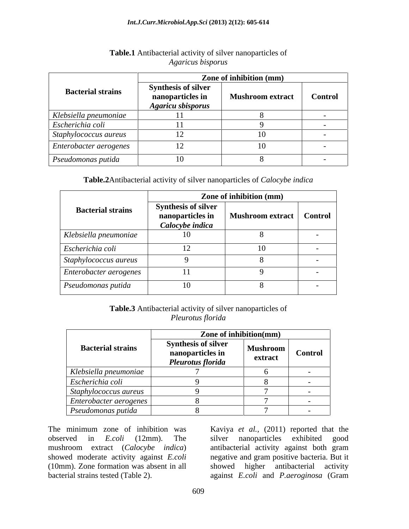|                              | Zone of inhibition (mm)                                                    |                         |                          |  |
|------------------------------|----------------------------------------------------------------------------|-------------------------|--------------------------|--|
| <b>Bacterial strains</b>     | <b>Synthesis of silver</b><br>nanoparticles in<br><b>Agaricu sbisporus</b> | <b>Mushroom extract</b> | <b>Control</b>           |  |
| Klebsiella pneumoniae        |                                                                            |                         |                          |  |
| Escherichia coli             |                                                                            |                         |                          |  |
| $\int$ Staphylococcus aureus |                                                                            | I ( )                   | $\overline{\phantom{a}}$ |  |
| Enterobacter aerogenes       | $\perp$                                                                    | 10.                     | $\overline{\phantom{a}}$ |  |
| $\vert$ Pseudomonas putida   |                                                                            |                         | $\overline{\phantom{a}}$ |  |

#### **Table.1** Antibacterial activity of silver nanoparticles of *Agaricus bisporus*

#### **Table.2**Antibacterial activity of silver nanoparticles of *Calocybe indica*

|                          | Zone of inhibition (mm)                                           |                         |                |
|--------------------------|-------------------------------------------------------------------|-------------------------|----------------|
| <b>Bacterial strains</b> | <b>Synthesis of silver</b><br>nanoparticles in<br>Calocybe indica | <b>Mushroom extract</b> | <b>Control</b> |
| Klebsiella pneumoniae    | 10                                                                |                         |                |
| Escherichia coli         |                                                                   | 10                      |                |
| Staphylococcus aureus    |                                                                   |                         |                |
| Enterobacter aerogenes   |                                                                   |                         |                |
| Pseudomonas putida       | 10                                                                |                         |                |

### **Table.3** Antibacterial activity of silver nanoparticles of *Pleurotus florida*

|                                | Zone of inhibition(mm)                                              |                     |                |
|--------------------------------|---------------------------------------------------------------------|---------------------|----------------|
| <b>Bacterial strains</b>       | <b>Synthesis of silver</b><br>nanoparticles in<br>Pleurotus florida | Mushroom<br>extract | <b>Control</b> |
| Klebsiella pneumoniae          |                                                                     |                     |                |
| Escherichia coli               |                                                                     |                     |                |
| Staphylococcus aureus          |                                                                     |                     |                |
| $ $ Enterobacter aerogenes $ $ |                                                                     |                     |                |
| Pseudomonas putida             |                                                                     |                     |                |

observed in *E.coli* (12mm). The silver nanoparticles exhibited good mushroom extract (*Calocybe indica*) antibacterial activity against both gram (10mm). Zone formation was absent in all

The minimum zone of inhibition was Kaviya *et al.,* (2011) reported that the mushroom extract (*Calocybe indica*) antibacterial activity against both gram showed moderate activity against *E.coli* negative and gram positive bacteria. But it bacterial strains tested (Table 2). against *E.coli* and *P.aeroginosa* (Gramsilver nanoparticles exhibited good higher antibacterial activity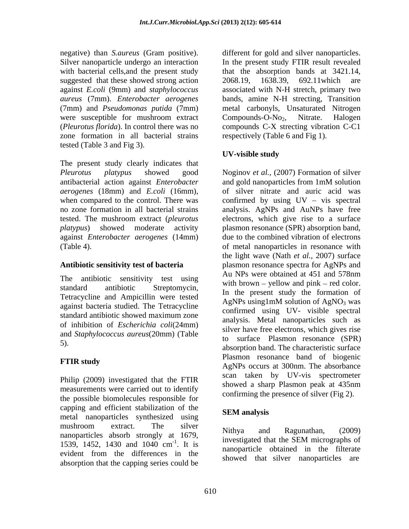with bacterial cells,and the present study suggested that these showed strong action 2068.19, 1638.39, 692.11 which are were susceptible for mushroom extract Compounds-O-No<sub>2</sub>, Nitrate. Halogen zone formation in all bacterial strains tested (Table 3 and Fig 3).

The present study clearly indicates that antibacterial action against *Enterobacter* against *Enterobacter aerogenes* (14mm)

Tetracycline and Ampicillin were tested<br>AgNPs using 1mM solution of AgNO<sub>3</sub> was against bacteria studied. The Tetracycline standard antibiotic showed maximum zone of inhibition of *Escherichia coli*(24mm) and *Staphylococcus aureus*(20mm) (Table

Philip (2009) investigated that the FTIR showed a sharp Plasmon peak at 435nm measurements were carried out to identify the possible biomolecules responsible for capping and efficient stabilization of the<br>
SEM analysis metal nanoparticles synthesized using mushroom extract. The silver  $N_{\text{Hilbyo}}$  and  $P_{\text{e}}$  constant (2000) nanoparticles absorb strongly at 1679,<br>manoparticles absorb strongly at 1679, hanoparticles absorb strongly at 1072,<br>investigated that the SEM micrographs of<br>1539, 1452, 1430 and 1040 cm<sup>-1</sup>. It is absorption that the capping series could be

negative) than *S.aureus* (Gram positive). different for gold and silver nanoparticles. Silver nanoparticle undergo an interaction In the present study FTIR result revealed against *E.coli* (9mm) and *staphylococcus*  associated with N-H stretch, primary two *aureus* (7mm). *Enterobacter aerogenes* bands, amine N-H strecting, Transition (7mm) and *Pseudomonas putida* (7mm) metal carbonyls, Unsaturated Nitrogen (*Pleurotus florida*). In control there was no compounds C-X strecting vibration C-C1 that the absorption bands at 3421.14, 2068.19, 1638.39, 692.11which are Compounds-O-No<sub>2</sub>, Nitrate. Halogen respectively (Table 6 and Fig 1).

### **UV-visible study**

*Pleurotus platypus* showed good Noginov *et al.,* (2007) Formation of silver *aerogenes* (18mm) and *E.coli* (16mm), of silver nitrate and auric acid was when compared to the control. There was confirmed by using  $UV - vis$  spectral no zone formation in all bacterial strains analysis. AgNPs and AuNPs have free tested. The mushroom extract (*pleurotus*  electrons, which give rise to a surface *platypus*) showed moderate activity plasmon resonance (SPR) absorption band, (Table 4). of metal nanoparticles in resonance with **Antibiotic sensitivity test of bacteria**  plasmon resonance spectra for AgNPs and The antibiotic sensitivity test using Au NPs were obtained at 451 and 578nm standard antibiotic Streptomycin,<br>
In the present study the formation of  $\frac{1}{2}$ . absorption band. The characteristic surface  $\frac{1}{2}$ . **FTIR study**<br>AgNPs occurs at 300nm. The absorbance and gold nanoparticles from 1mM solution due to the combined vibration of electrons the light wave (Nath *et al.,* 2007) surface Au NPs were obtained at 451 and 578nm with brown  $-$  yellow and pink  $-$  red color. AgNPs using1mM solution of  $AgNO<sub>3</sub>$  was confirmed using UV- visible spectral analysis. Metal nanoparticles such as silver have free electrons, which gives rise to surface Plasmon resonance (SPR) Plasmon resonance band of biogenic scan taken by UV-vis spectrometer showed a sharp Plasmon peak at 435nm confirming the presence of silver (Fig 2).

### **SEM analysis**

1539, 1452, 1430 and 1040 cm<sup>-1</sup>. It is monographical diagnosis in the filterate  $\frac{1}{2}$ . It is manoparticle obtained in the filterate evident from the differences in the hanoparticle bound that illustrate in the interaction Nithya and Ragunathan, (2009) investigated that the SEM micrographs of showed that silver nanoparticles are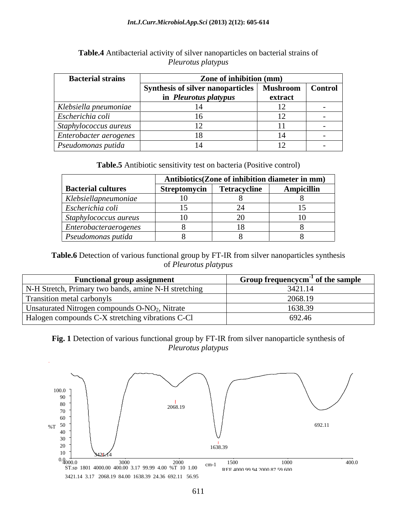#### *Int.J.Curr.Microbiol.App.Sci* **(2013) 2(12): 605-614**

| <b>Bacterial strains</b> | Zone of inhibition (mm)                  |                 |                |  |
|--------------------------|------------------------------------------|-----------------|----------------|--|
|                          | <b>Synthesis of silver nanoparticles</b> | <b>Mushroom</b> | <b>Control</b> |  |
|                          | in <i>Pleurotus platypus</i>             | extract         |                |  |
| Klebsiella pneumoniae    |                                          |                 |                |  |
| Escherichia coli         |                                          |                 |                |  |
| Staphylococcus aureus    |                                          | . .             |                |  |
| Enterobacter aerogenes   |                                          |                 |                |  |
| Pseudomonas putida       |                                          |                 |                |  |

#### **Table.4** Antibacterial activity of silver nanoparticles on bacterial strains of *Pleurotus platypus*

**Table.5** Antibiotic sensitivity test on bacteria (Positive control)

|                           |              | Antibiotics(Zone of inhibition diameter in mm) |                   |
|---------------------------|--------------|------------------------------------------------|-------------------|
| <b>Bacterial cultures</b> | Streptomycin | <b>Tetracycline</b>                            | <b>Ampicillin</b> |
| Klebsiellapneumoniae      |              |                                                |                   |
| Escherichia coli          |              |                                                |                   |
| Staphylococcus aureus     |              |                                                |                   |
| Enterobacteraero genes    |              |                                                |                   |
| Pseudomonas putida        |              |                                                |                   |

**Table.6** Detection of various functional group by FT-IR from silver nanoparticles synthesis of *Pleurotus platypus*

| <b>Functional group assignment</b>                         | Group frequencycm <sup>-1</sup> of the sample |
|------------------------------------------------------------|-----------------------------------------------|
| N-H Stretch, Primary two bands, amine N-H stretching       | 3421.14                                       |
| Transition metal carbonyls                                 | 2068.19                                       |
| Unsaturated Nitrogen compounds O-NO <sub>2</sub> , Nitrate | .638.39                                       |
| Halogen compounds C-X stretching vibrations C-Cl           | 692.46                                        |

**Fig. 1** Detection of various functional group by FT-IR from silver nanoparticle synthesis of *Pleurotus platypus*

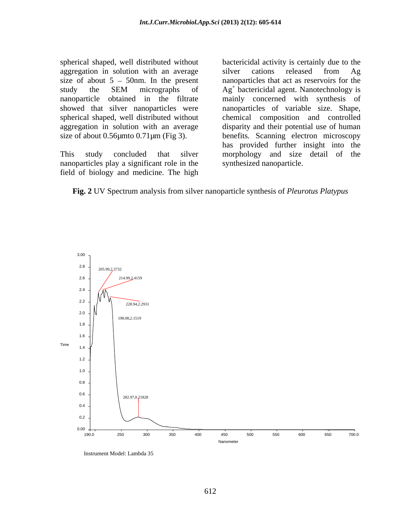aggregation in solution with an average silver cations released from Ag showed that silver nanoparticles were nanoparticles of variable size. Shape, spherical shaped, well distributed without chemical composition and controlled

nanoparticles play a significant role in the field of biology and medicine. The high

spherical shaped, well distributed without bactericidal activity is certainly due to the size of about  $5 - 50$ nm. In the present nanoparticles that act as reservoirs for the study the SEM micrographs of  $Ag<sup>+</sup>$  bactericidal agent. Nanotechnology is nanoparticle obtained in the filtrate mainly concerned with synthesis of aggregation in solution with an average disparity and their potential useof human size of about 0.56µmto 0.71µm (Fig 3). benefits. Scanning electron microscopy This study concluded that silver morphology and size detail of the silver cations released from Ag Ag<sup>+</sup> bactericidal agent. Nanotechnology is nanoparticles of variable size. Shape, chemical composition and controlled has provided further insight into the synthesized nanoparticle.



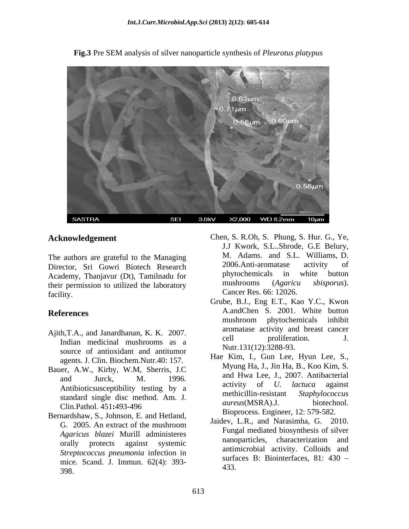

**Fig.3** Pre SEM analysis of silver nanoparticle synthesis of *Pleurotus platypus*

Director, Sri Gowri Biotech Research 2006.Anti-aromatase activity of academy Thanking City Tamilnady for phytochemicals in white button Academy, Thanjavur (Dt), Tamilnadu for hypochemicals in white button<br>their permission to utilized the laboratory mushrooms (Agaricu sbisporus). their permission to utilized the laboratory facility. Cancer Res. 66: 12026.

- source of antioxidant and antitumor agents. J. Clin. Biochem.Nutr.40: 157.
- Bauer, A.W., Kirby, W.M, Sherris, J.C
- Bernardshaw, S., Johnson, E. and Hetland, *Streptococcus pneumonia* infection in mice. Scand. J. Immun. 62(4): 393-
- **Acknowledgement** Chen, S. R.Oh, S. Phung, S. Hur. G., Ye,<br>J.J Kwork, S.L..Shrode, G.E Belury, The authors are grateful to the Managing M. Adams. and S.L. Williams, D.<br>Director Sri Gowri Biotech Besearch 2006.Anti-aromatase activity of phytochemicals in white button mushrooms (*Agaricu sbisporus*).
- References **References** A.andChen S. 2001. White button Ajith, T.A., and Janardhanan, K. K. 2007. and aromatase activity and breast cancer and  $\frac{1}{2}$ . Indian medicinal mushrooms as a Grube, B.J., Eng E.T., Kao Y.C., Kwon A.andChen S. 2001. White button mushroom phytochemicals inhibit aromatase activity and breast cancer cell proliferation. J. Nutr.131(12):3288-93.
- and Jurck, M. 1996. and I wa Lee, J., 2007. Antibacterial Antibioticsusceptibility testing by a<br>
tendent single disc method Am I activity of U. lactuca against<br>
methicillin-resistant Staphylococcus standard single disc method. Am. J.<br> *aureus*(MSRA).J. biotechnol. Clin.Pathol. 451**:**493-496 *aureus* (*N*), *aureus* (*N*), *aureus* (*N*), *aureus* (*N*), *aureus* (*N*), *aureus* (*N*), *aureus* (*N*), *aureus* (*N*), *aureus* (*N*), *aureus* (*N*), *aureus* (*N*), *aureus* (*N*), *au* **EXERT (FRANCE)** Chen, S. R.Oh, S. Phung, S. Hur. G., Ye, And S.L. Williams, D. And Goten, Sri Gowit Biotech are active of the determy, Thanjavur (Dt), Tamilnadu for a 2006.Anti-aromatase activity of phytochemicals in whit Hae Kim, I., Gun Lee, Hyun Lee, S., Myung Ha, J., Jin Ha, B., Koo Kim, S. and Hwa Lee, J., 2007. Antibacterial activity of *U. lactuca* against methicillin-resistant *Staphylococcus aureus*(MSRA).J. Bioprocess. Engineer, 12: 579-582.
	- G. 2005. An extract of the mushroom  $\overline{S}$  and  $\overline{S}$ , and Narashima, O. 2010. *Agaricus blazei* Murill administeres<br>
	nanoparticles, characterization and<br> *analysis* manoparticles, characterization and orally protects against systemic and individual container and and Jaidev, L.R., and Narasimha, G. 2010. Fungal mediated biosynthesis of silver nanoparticles, characterization and antimicrobial activity. Colloids and surfaces B: Biointerfaces, 81: 430 -433.